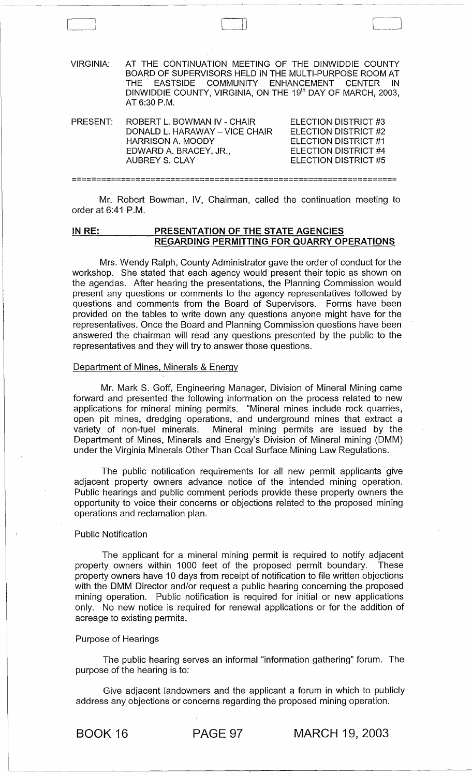| VIRGINIA <sup>.</sup> | AT THE CONTINUATION MEETING OF THE DINWIDDIE COUNTY<br>BOARD OF SUPERVISORS HELD IN THE MULTI-PURPOSE ROOM AT<br>THE EASTSIDE COMMUNITY ENHANCEMENT CENTER<br>DINWIDDIE COUNTY, VIRGINIA, ON THE 19 <sup>th</sup> DAY OF MARCH, 2003,<br>AT 6:30 P.M. | IN.                                                                                                                   |
|-----------------------|-------------------------------------------------------------------------------------------------------------------------------------------------------------------------------------------------------------------------------------------------------|-----------------------------------------------------------------------------------------------------------------------|
| PRESENT:              | ROBERT L. BOWMAN IV - CHAIR<br>DONALD L. HARAWAY - VICE CHAIR<br><b>HARRISON A. MOODY</b><br>EDWARD A. BRACEY, JR.,<br><b>AUBREY S. CLAY</b>                                                                                                          | ELECTION DISTRICT #3<br>FLECTION DISTRICT #2<br>ELECTION DISTRICT #1<br>ELECTION DISTRICT #4<br>FI FCTION DISTRICT #5 |
|                       |                                                                                                                                                                                                                                                       |                                                                                                                       |

 $\Box$ 

~ ----~----------------------------------

Mr. Robert Bowman, IV, Chairman, called the continuation meeting to order at 6:41 P.M.

### **IN RE: PRESENTATION OF THE STATE AGENCIES REGARDING PERMITTING FOR QUARRY OPERATIONS**

Mrs. Wendy Ralph, County Administrator gave the order of conduct for the workshop. She stated that each agency would present their topic as shown on the agendas. After hearing the presentations, the Planning Commission would present any questions or comments to the agency representatives followed by questions and comments from the Board of Supervisors. Forms have been provided on the tables to write down any questions anyone might have for the representatives. Once the Board and Planning Commission questions have been answered the chairman will read any questions· presented by the public to the representatives and they will try to answer those questions.

#### Department of Mines, Minerals & Energy

Mr. Mark S. Goff, Engineering Manager, Division of Mineral Mining came forward and presented the following information on the process related to new applications for mineral mining permits. "Mineral mines include rock quarries, open pit mines, dredging operations, and underground mines that extract a<br>variety of non-fuel minerals. Mineral mining permits are issued by the Mineral mining permits are issued by the Department of Mines, Minerals and Energy's Division of Mineral mining (DMM) under the Virginia Minerals Other Than Coal Surface Mining Law Regulations.

The public notification requirements for all new permit applicants give adjacent property owners advance notice of the intended mining operation. Public hearings and public comment periods provide these property owners the opportunity to voice their concerns or objections related to .the proposed mining operations and reclamation plan.

### Public Notification

The applicant for a mineral mining permit is required to notify adjacent property owners within 1000 feet of the proposed permit boundary. These property owners have 10 days from receipt of notification to file written objections with the DMM Director and/or request a public hearing concerning the proposed mining operation. Public notification is required for initial or new applications only. No new notice is required for renewal applications or for the addition of acreage to existing permits.

#### Purpose of Hearings

The public hearing serves an informal "information gathering" forum. The purpose of the hearing is to:

Give adjacent landowners and the applicant a forum in which to publicly address any objections or concerns regarding the proposed mining operation.

BOOK 16 PAGE 97 MARCH 19, 2003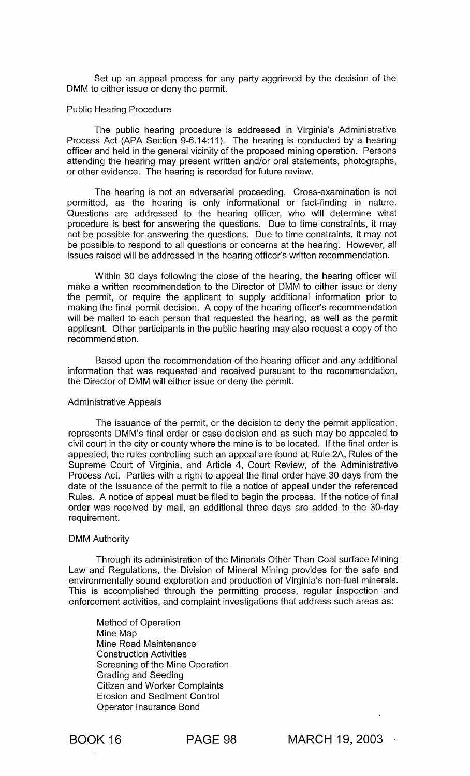Set up an appeal process for any party aggrieved by the decision of the DMM to either issue or deny the permit.

#### Public Hearing Procedure

The public hearing procedure is addressed in Virginia's Administrative Process Act (APA Section 9-6.14:11). The hearing is conducted by a hearing officer and held in the general vicinity of the proposed mining operation. Persons attending the hearing may present written and/or oral statements, photographs, or other evidence. The hearing is recorded for future review.

The hearing is not an adversarial proceeding. Cross-examination is not permitted, as the hearing is only informational or fact-finding in nature. Questions are addressed to the hearing officer, who will determine what procedure is best for answering the questions. Due to time constraints, it may not be possible for answering the questions. Due to time constraints, it may not be possible to respond to all questions or concerns at the hearing. However, all issues raised will be addressed in the hearing officer's written recommendation.

Within 30 days following the close of the hearing, the hearing officer will make a written recommendation to the Director of DMM to either issue or deny the permit, or require the applicant to supply additional information prior to making the final permit decision. A copy of the hearing officer's recommendation will be mailed to each person that requested the hearing, as well as the permit applicant. Other participants in the public hearing may also request a copy of the recommendation.

Based upon the recommendation of the hearing officer and any additional information that was requested and received pursuant to the recommendation, the Director of DMM will either issue or deny the permit.

### Administrative Appeals

The issuance of the permit, or the decision to deny the permit application, represents DMM's final order or case decision and as such may be appealed to civil court in the city or county where the mine is to be located. If the final order is appealed, the rules controlling such an appeal are found at Rule 2A, Rules of the Supreme Court of Virginia, and Article 4, Court Review, of the Administrative Process Act. Parties with a right to appeal the final order have 30 days from the date of the issuance of the permit to file a notice of appeal under the referenced Rules. A notice of appeal must be filed to begin the process. If the notice of final order was received by mail, an additional three days are added to the 30-day requirement.

#### DMM Authority

Through its administration of the Minerals Other Than Coal surface Mining Law and Regulations, the Division of Mineral Mining provides for the safe and environmentally sound exploration and production of Virginia's non-fuel minerals. This is accomplished through the permitting process, regular inspection and enforcement activities, and complaint investigations that address such areas as:

Method of Operation Mine Map Mine Road Maintenance Construction Activities Screening of the Mine Operation Grading and Seeding Citizen and Worker Complaints Erosion and Sediment Control Operator Insurance Bond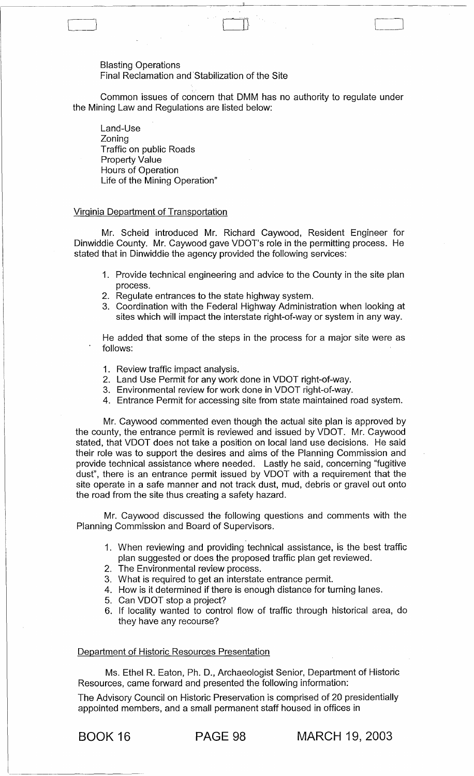Blasting Operations

Final Reclamation and Stabilization of the Site

Common issues of concern that DMM has no authority to regulate under the Mining Law and Regulations are listed below:

'----\_J CIJ '----\_J

Land-Use Zoning Traffic on public Roads Property Value Hours of Operation Life of the Mining Operation"

### Virginia Department of Transportation

Mr. Scheid introduced Mr. Richard Caywood, Resident Engineer for Dinwiddie County. Mr. Caywood gave VDOT's role in the permitting process. He stated that in Dinwiddie the agency provided the following services:

- 1. Provide technical engineering and advice to the County in the site plan process.
- 2. Regulate entrances to the state highway system.
- 3. Coordination with the Federal Highway Administration when looking at sites which will impact the interstate right-of-way or system in any way.

He added that some of the steps in the process for a major site were as follows:

- 1. Review traffic impact analysis.
- 2. Land Use Permit for any work done in VDOT right-of-way.
- 3. Environmental review for work done in VDOT right-of-way.
- 4. Entrance Permit for accessing site from state maintained road system.

Mr. Caywood commented even though the actual site plan is approved by the county, the entrance permit is reviewed and issued by VDOT. Mr. Caywood stated, that VDOT does not take a position on local land use decisions. He said their role was to support the desires and aims of the Planning Commission and provide technical assistance where needed. Lastly he said, concerning "fugitive dust", there is an entrance permit issued by VDOT with a requirement that the site operate in a safe manner and not track dust, mud, debris or gravel out onto the road from the site thus creating a safety hazard.

Mr. Caywood discussed the following questions and comments with the Planning Commission and Board of Supervisors.

- 1. When reviewing and providing technical assistance, is the best traffic plan suggested or does the proposed traffic plan get reviewed.
- 2. The Environmental review process.
- 3. What is required to get an interstate entrance permit.
- 4. How is it determined if there is enough distance for turning lanes.
- 5. Can VDOT stop a project?
- 6. If locality wanted to control flow of traffic through historical area, do they have any recourse?

Department of Historic Resources Presentation

Ms. Ethel R. Eaton, Ph. D., Archaeologist Senior, Department of Historic Resources, came forward and presented the following information:

The Advisory Council on Historic Preservation is comprised of 20 presidentially appointed members, and a small permanent staff housed in offices in

BOOK 16 **PAGE 98 MARCH** 19, 2003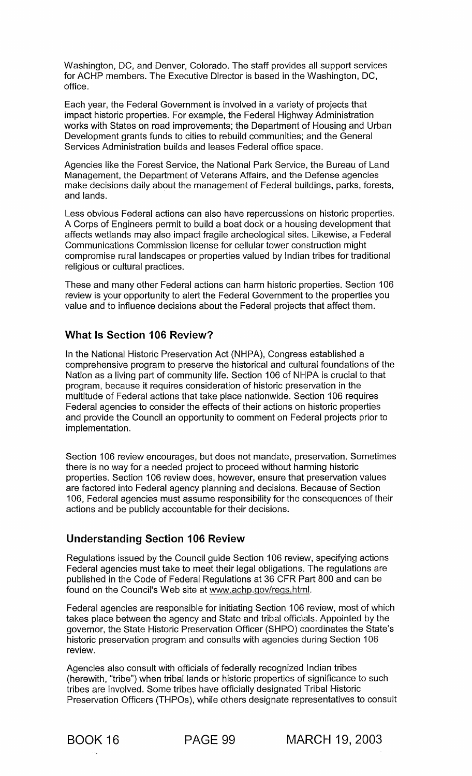Washington, DC, and Denver, Colorado. The staff provides all support services for ACHP members. The Executive Director is based in the Washington, DC, office.

Each year, the Federal Government is involved in a variety of projects that impact historic properties. For example, the Federal Highway Administration works with States on road improvements; the Department of Housing and Urban Development grants funds to cities to rebuild communities; and the General Services Administration builds and leases Federal office space.

Agencies like the Forest Service, the National Park Service, the Bureau of Land Management, the Department of Veterans Affairs, and the Defense agencies make decisions daily about the management of Federal buildings, parks, forests, and lands.

Less obvious Federal actions can also have repercussions on historic properties. A Corps of Engineers permit to build a boat dock or a housing development that affects wetlands may also impact fragile archeological sites. Likewise, a Federal Communications Commission license for cellular tower construction might compromise rural landscapes or properties valued by Indian tribes for traditional religious or cultural practices.

These and many other Federal actions can harm historic properties. Section 106 review is your opportunity to alert the Federal Government to the properties you value and to influence decisions about the Federal projects that affect them.

# What Is Section 106 Review?

In the National Historic Preservation Act (NHPA), Congress established a comprehensive program to preserve the historical and cultural foundations of the Nation as a living part of community life. Section 106 of NHPA is crucial to that program, because it requires consideration of historic preservation in the multitude of Federal actions that take place nationwide. Section '106 requires Federal agencies to consider the effects of their actions on historic properties and provide the Council an opportunity to comment on Federal projects prior to implementation.

Section 106 review encourages, but does not mandate, preservation. Sometimes there is no way for a needed project to proceed without harming historic properties. Section 106 review does, however, ensure that preservation values are factored into Federal agency planning and decisions. Because of Section 106, Federal agencies must assume responsibility for the consequences of their actions and be publicly accountable for their decisions.

# Understanding Section 106 Review

Regulations issued by the Council guide Section 106 review, specifying actions Federal agencies must take to meet their legal obligations. The regulations are published in the Code of Federal Regulations at 36 CFR Part 800 and can be found on the Council's Web site at www.achp.gov/regs.html.

Federal agencies are responsible for initiating Section 106 review, most of which takes place between the agency and State and tribal officials. Appointed by the governor, the State Historic Preservation Officer (SHPO) coordinates the State's historic preservation program and consults with agencies during Section 106 review.

Agencies also consult with officials of federally recognized Indian tribes (herewith, "tribe") when tribal lands or historic properties of significance to such tribes are involved. Some tribes have officially designated Tribal Historic Preservation Officers (THPOs), while others designate representatives to consult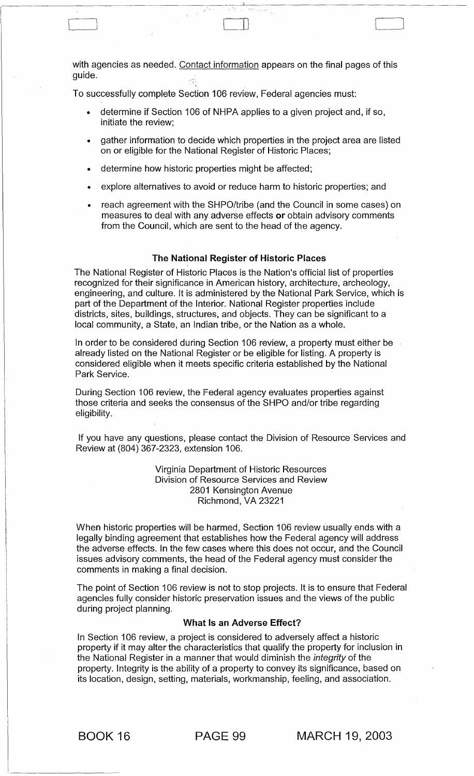with agencies as needed. Contact information appears on the final pages of this quide.

Cl CD '---\_J

To successfully complete Section 106 review, Federal agencies must:

- determine if Section 106 of NHPA applies to a given project and, if so, initiate the review;
- gather information to decide which properties in the project area are listed on or eligible for the National Register of Historic Places;
- determine how historic properties might be affected;
- explore alternatives to avoid or reduce harm to historic properties; and
- reach agreement with the SHPO/tribe (and the Council in some cases) on measures to deal with any adverse effects or obtain advisory comments from the Council, which are sent to the head of the agency.

### The National Register of Historic Places

The National Register of Historic Places is the Nation's official list of properties recognized for their significance in American history, architecture, archeology, engineering, and culture. It is administered by the National Park Service, which is part of the Department of the Interior. National Register properties include districts, sites, buildings, structures, and objects. They can be significant to a local community, a State, an Indian tribe, or the Nation as a whole.

In order to be considered during Section 106 review, a property must either be already listed on the National Register or be eligible for listing. A property is considered eligible when it meets specific criteria established by the National Park Service.

During Section 106 review, the Federal agency evaluates properties against those criteria and seeks the consensus of the SHPO and/or tribe regarding eligibility.

If you have any questions, please contact the Division of Resource Services and Review at (804) 367-2323, extension 106.

> Virginia Department of Historic Resources Division of Resource Services and Review 2801 Kensington Avenue Richmond, VA 23221

When historic properties will be harmed, Section 106 review usually ends with a legally binding agreement that establishes how the Federal agency will address the adverse effects. In the few cases where this does not occur, and the Council issues advisory comments, the head of the Federal agency must consider the comments in making a final decision.

The point of Section 106 review is not to stop projects. It is to ensure that Federal agencies fully consider historic preservation issues and the views of the public during project planning.

### What Is an Adverse Effect?

In Section 106 review, a project is considered to adversely affect a historic property if it may alter the characteristics that qualify the property for inclusion in the National Register in a manner that would diminish the *integrity* of the property. Integrity is the ability of a property to convey its significance, based on its location, design, setting, materials, workmanship, feeling, and association.

BOOK 16 PAGE 99 MARCH 19, 2003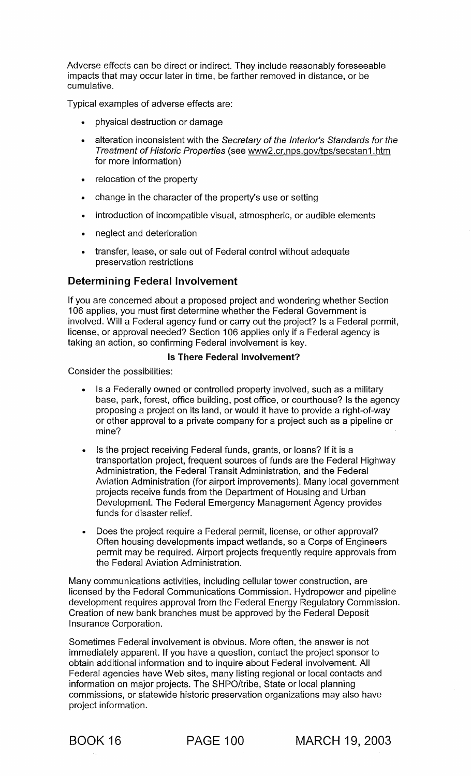Adverse effects can be direct or indirect. They include reasonably foreseeable impacts that may occur later in time, be farther removed in distance, or be cumulative.

Typical examples of adverse effects are:

- physical destruction or damage
- alteration inconsistent with the Secretary of the Interior's Standards for the Treatment of Historic Properties (see www2.cr.nps.gov/tps/secstan1.htm for more information)
- relocation of the property
- change in the character of the property's use or setting
- introduction of incompatible visual, atmospheric, or audible elements
- neglect and deterioration
- transfer, lease, or sale out of Federal control without adequate preservation restrictions

# Determining Federal Involvement

If you are concerned about a proposed project and wondering whether Section 106 applies, you must first determine whether the Federal Government is involved. Will a Federal agency fund or carry out the project? Is a Federal permit, license, or approval needed? Section 106 applies only if a Federal agency is taking an action, so confirming Federal involvement is key.

### Is There Federal Involvement?

Consider the possibilities:

- Is a Federally owned or controlled property involved, such as a military base, park, forest, office building, post office, or courthouse? Is the agency proposing a project on its land, or would it have to provide a right-of-way or other approval to a private company for a project such as a pipeline or mine?
- Is the project receiving Federal funds, grants, or loans? If it is a transportation project, frequent sources of funds are the Federal Highway Administration, the Federal Transit Administration, and the Federal Aviation Administration (for airport improvements). Many local government projects receive funds from the Department of Housing and Urban Development. The Federal Emergency Management Agency provides funds for disaster relief.
- Does the project require a Federal permit, license, or other approval? Often housing developments impact wetlands, so a Corps of Engineers permit may be required. Airport projects frequently require approvals from the Federal Aviation Administration.

Many communications activities, including cellular tower construction, are licensed by the Federal Communications Commission. Hydropower and pipeline development requires approval from the Federal Energy Regulatory Commission. Creation of new bank branches must be approved by the Federal Deposit Insurance Corporation.

Sometimes Federal involvement is obvious. More often, the answer is not immediately apparent. If you have a question, contact the project sponsor to obtain additional information and to inquire about Federal involvement. All Federal agencies have Web sites, many listing regional or local contacts and information on major projects. The SHPO/tribe, State or local planning commissions, or statewide historic preservation organizations may also have project information.

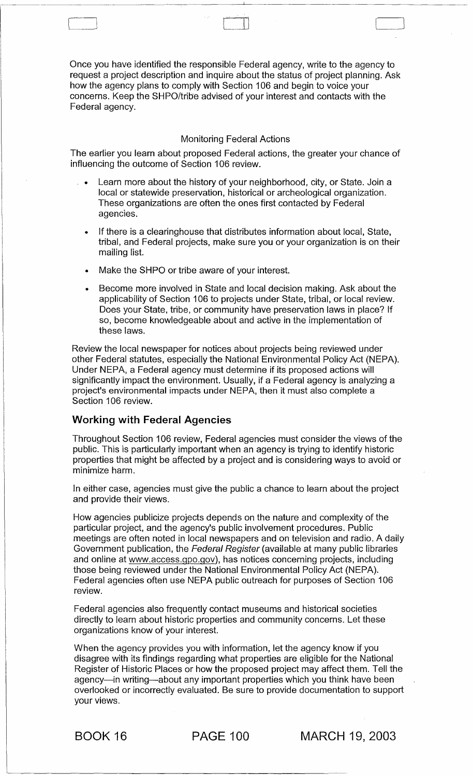Once you have identified the responsible Federal agency, write to the agency to request a project description and inquire about the status of project planning. Ask how the agency plans to comply with Section 106 and begin to voice your concerns. Keep the SHPO/trib'e advised of your interest and contacts with the Federal agency.

-~~---~--- -------~\_\_\_\_c\_\_-----'------------------------

 $\Box$ 

### Monitoring Federal Actions

The earlier you learn about proposed Federal actions, the greater your chance of influencing the outcome of Section 106 review.

- Learn more about the history of your neighborhood, city, or State. Join a local or statewide preservation, historical or archeological organization. These organizations are often the ones first contacted by Federal agencies.
- If there is a clearinghouse that distributes information about local, State, tribal, and Federal projects, make sure you or your organization is on their mailing list.
- Make the SHPO or tribe aware of your interest.
- Become more involved in State and local decision making. Ask about the applicability of Section 106 to projects under State, tribal, or local review. Does your State, tribe, or community have preservation laws in place? If so, become knowledgeable about and active in the implementation of these laws.

Review the local newspaper for notices about projects being reviewed under other Federal statutes, especially the National Environmental Policy Act (NEPA). Under NEPA, a Federal agency must determine if its proposed actions will significantly impact the environment. Usually, if a Federal agency is analyzing a project's environmental impacts under NEPA, then it must also complete a Section 106 review.

## Working with Federal Agencies

Throughout Section 106 review, Federal agencies must consider the views of the public. This is particularly important when an agency is trying to identify historic properties that might be affected by a project and is considering ways to avoid or minimize harm.

In either case, agencies must give the public a chance to learn about the project and provide their views.

How agencies publicize projects depends on the nature and complexity of the particular project, and the agency's public involvement procedures. Public meetings are often noted in local newspapers and on television and radio. A daily Government publication, the Federal Register (available at many public libraries and online at www.access.gpo.gov), has notices concerning projects, including those being reviewed under the National Environmental Policy Act (NEPA). Federal agencies often use NEPA public outreach for purposes of Section 106 review.

Federal agencies also frequently contact museums and historical societies directly to learn about historic properties and community concerns. Let these organizations know of your interest.

When the agency provides you with information, let the agency know if you disagree with its findings regarding what properties are eligible for the National Register of Historic Places or how the proposed project may affect them. Tell the agency-in writing-about any important properties which you think have been overlooked or incorrectly evaluated. Be sure to provide documentation to support your views.

BOOK 16 PAGE 100 MARCH 19, 2003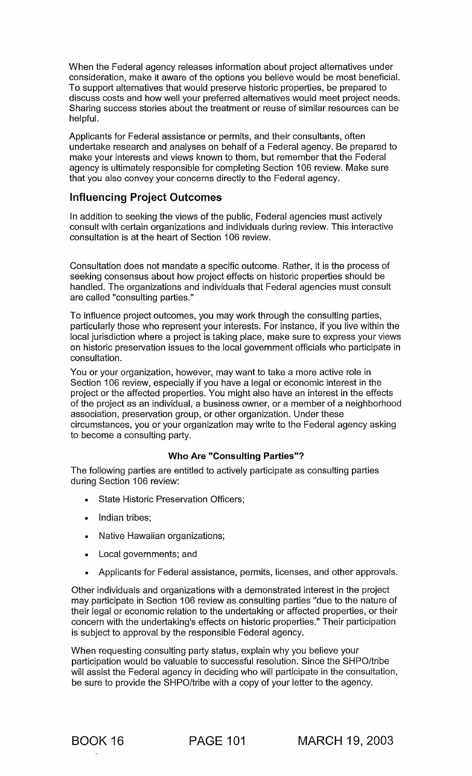When the Federal agency releases information about project alternatives under consideration, make it aware of the options you believe would be most beneficial. To support alternatives that would preserve historic properties, be prepared to discuss costs and how well your preferred alternatives would meet project needs. Sharing success stories about the treatment or reuse of similar resources can be helpful.

Applicants for Federal assistance or permits, and their consultants, often undertake research and analyses on behalf of a Federal agency. Be prepared to make your interests and views known to them, but remember that the Federal agency is ultimately responsible for completing Section 106 review. Make sure that you also convey your concerns directly to the Federal agency.

## Influencing Project Outcomes

In addition to seeking the views of the public, Federal agencies must actively consult with certain organizations and individuals during review. This interactive consultation is at the heart of Section 106 review.

Consultation does not mandate a specific outcome. Rather, it is the process of seeking consensus about how project effects on historic properties should be handled. The organizations and individuals that Federal agencies must consult are called "consulting parties."

To influence project outcomes, you may work through the consulting parties, particularly those who represent your interests. For instance, if you live within the local jurisdiction where a project is taking place, make sure to express your views on historic preservation issues to the local government officials who participate in consultation.

You or your organization, however, may want to take a more active role in Section 106 review, especially if you have a legal or economic interest in the project or the affected properties. You might also have an interest in the effects of the project as an individual, a business owner, or a member of a neighborhood association, preservation group, or other organization. Under these circumstances, you or your organization may write to the Federal agency asking to become a consulting party.

### Who Are "Consulting Parties"?

The following parties are entitled to actively participate as consulting parties during Section 106 review:

- State Historic Preservation Officers;
- Indian tribes:
- Native Hawaiian organizations;
- Local governments; and
- Applicants for Federal assistance, permits, licenses, and other approvals.

Other individuals and organizations with a demonstrated interest in the project may participate in Section 106 review as consulting parties "due to the nature of their legal or economic relation to the undertaking or affected properties, or their concern with the undertaking's effects on historic properties." Their participation is subject to approval by the responsible Federal agency.

When requesting consulting party status, explain why you believe your participation would be valuable to successful resolution. Since the SHPO/tribe will assist the Federal agency in deciding who will participate in the consultation, be sure to provide the SHPO/tribe with a copy of your letter to the agency.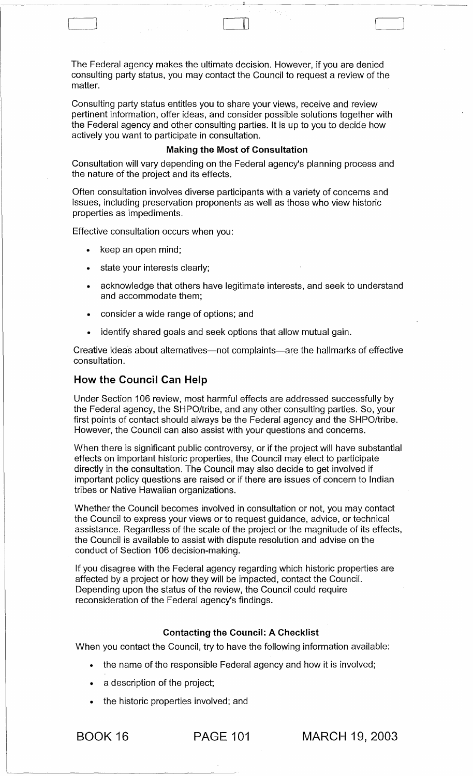The Federal agency makes the ultimate decision. However, if you are denied consulting party status, you may contact the Council to request a review of the matter.

------------- ------------~ -- - --------,~:----------------------

 $\Box$ 

 $\vert$ 

Consulting party status entitles you to share your views, receive and review pertinent information, offer ideas, and consider possible solutions together with the Federal agency and other consulting parties. It is up to you to decide how actively you want to participate in consultation.

### Making the Most of Consultation

Consultation will vary depending on the Federal agency's planning process and the nature of the project and its effects.

Often consultation involves diverse participants with a variety of concerns and issues, including preservation proponents as well as those who view historic properties as impediments.

Effective consultation occurs when you:

- keep an open mind;
- state your interests clearly;
- acknowledge that others have legitimate interests, and seek to understand and accommodate them;
- consider a wide range of options; and
- identify shared goals and seek options that allow mutual gain.

Creative ideas about alternatives-not complaints-are the hallmarks of effective consultation.

## How the Council Can Help

Under Section 106 review, most harmful effects are addressed successfully by the Federal agency, the SHPO/tribe, and any other consulting parties. So, your first points of contact should always be the Federal agency and the SHPO/tribe. However, the Council can also assist with your questions and concerns.

When there is significant public controversy, or if the project will have substantial effects on important historic properties, the Council may elect to participate directly in the consultation. The Council may also decide to get involved if important policy questions are raised or if there are issues of concern to Indian tribes or Native Hawaiian organizations.

Whether the Council becomes involved in consultation or not, you may contact the Council to express your views or to request guidance, advice, or technical assistance. Regardless of the scale of the project or the magnitude of its effects, the Council is available to assist with dispute resolution and advise on the conduct of Section 106 decision-making.

If you disagree with the Federal agency regarding which historic properties are affected by a project or how they will be impacted, contact the Council. Depending upon the status of the review, the Council could require reconsideration of the Federal agency's findings.

### Contacting the Council: A Checklist

When you contact the Council, try to have the following information available:

- the name of the responsible Federal agency and how it is involved;
- a description of the project;
- the historic properties involved; and

BOOK 16 PAGE 101 MARCH 19, 2003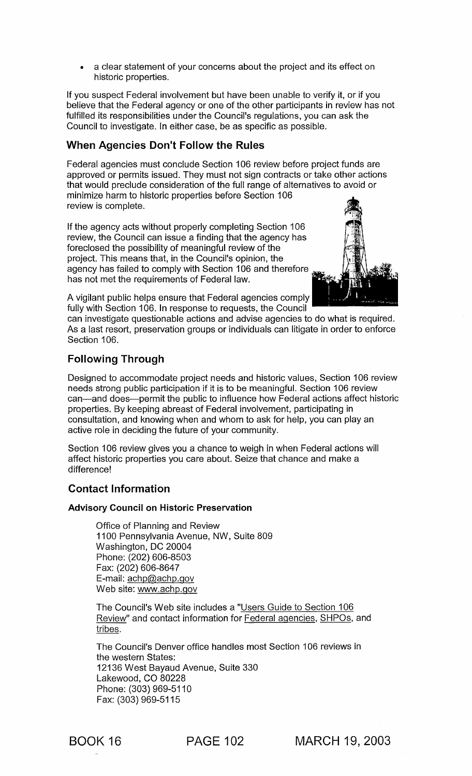• a clear statement of your concerns about the project and its effect on historic properties.

If you suspect Federal involvement but have been unable to verify it, or if you believe that the Federal agency or one of the other participants in review has not fulfilled its responsibilities under the Council's regulations, you can ask the Council to investigate. In either case, be as specific as possible.

# When Agencies Don't Follow the Rules

Federal agencies must conclude Section 106 review before project funds are approved or permits issued. They must not sign contracts or take other actions that would preclude consideration of the full range of alternatives to avoid or minimize harm to historic properties before Section 106 review is complete.

If the agency acts without properly completing Section 106 review, the Council can issue a finding that the agency has foreclosed the possibility of meaningful review of the project. This means that, in the Council's opinion, the agency has failed to comply with Section 106 and therefore has not met the requirements of Federal law.



A vigilant public helps ensure that Federal agencies comply fully with Section 106. In response to requests, the Council

can investigate questionable actions and advise agencies to do what is required. As a last resort, preservation groups or individuals can litigate in order to enforce Section 106.

# Following Through

Designed to accommodate project needs and historic values, Section 106 review needs strong public participation if it is to be meaningful. Section 106 review can-and does-permit the public to influence how Federal actions affect historic properties. By keeping abreast of Federal involvement, participating in consultation, and knowing when and whom to ask for help, you can play an active role in deciding the future of your community.

Section 106 review gives you a chance to weigh in when Federal actions will affect historic properties you care about. Seize that chance and make a difference!

## Contact Information

### Advisory Council on Historic Preservation

Office of Planning and Review 1100 Pennsylvania Avenue, NW, Suite 809 Washington, DC 20004 Phone: (202) 606-8503 Fax: (202) 606-8647 E-mail: achp@achp.gov Web site: www.achp.gov

The Council's Web site includes a "Users Guide to Section 106 Review" and contact information for Federal agencies, SHPOs, and tribes.

The Council's Denver office handles most Section 106 reviews in the western States: 12136 West Bayaud Avenue, Suite 330 Lakewood, CO 80228 Phone: (303) 969-5110 Fax: (303) 969-5115

BOOK 16 PAGE 102 MARCH 19, 2003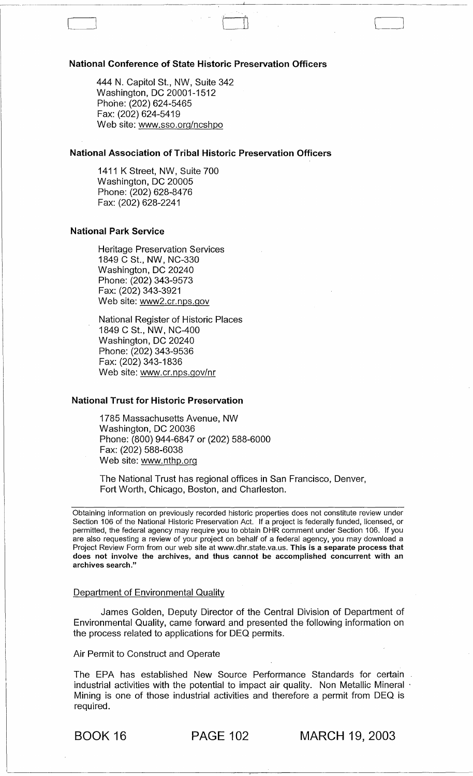#### National Conference of State Historic Preservation Officers

444 N. Capitol St., NW, Suite 342 Washington, DC 20001-1512 Phone: (202) 624-5465 Fax: (202) 624-5419 Web site: www.sso.org/ncshpo

### National Association of Tribal Historic Preservation Officers

1411 K Street, NW, Suite 700 Washington, DC 20005 Phone: (202) 628-8476 Fax: (202) 628-2241

#### National Park Service

Heritage Preservation Services 1849 CSt., NW, NC-330 Washington, DC 20240 Phone: (202) 343-9573 Fax: (202) 343-3921 Web site: www2.cr.nps.gov

National Register of Historic Places 1849 C St., NW, NC-400 Washington, DC 20240 Phone: (202) 343-9536 Fax: (202) 343-1836 Web site: www.cr.nps.gov/nr

### National Trust for Historic Preservation

1785 Massachusetts Avenue, NW Washington, DC 20036 Phone: (800) 944-6847 or (202) 588-6000 Fax: (202) 588-6038 Web site: www.nthp.org

The National Trust has regional offices in San Francisco, Denver, Fort Worth, Chicago, Boston, and Charleston.

Obtaining information on previously recorded historic properties does not constitute review under Section 106 of the National Historic Preservation Act. If a project is federally funded, licensed, or permitted, the federal agency may require you to obtain DHR comment under Section 106. If you are also requesting a review of your project on behalf of a federal agency, you may download a Project Review Form from our web site at www.dhr.state.va.us. This is a separate process that does not involve the archives, and thus cannot be accomplished concurrent with an archives search."

#### Department of Environmental Quality

James Golden, Deputy Director of the Central Division of Department of Environmental Quality, came forward and presented the following information on the process related to applications for DEQ permits.

### Air Permit to Construct and Operate

The EPA has established New Source Performance Standards for certain industrial activities with the potential to impact air quality. Non Metallic Mineral · Mining is one of those industrial activities and therefore a permit from DEQ is required.

BOOK 16 PAGE 102 MARCH 19, 2003

 $\exists$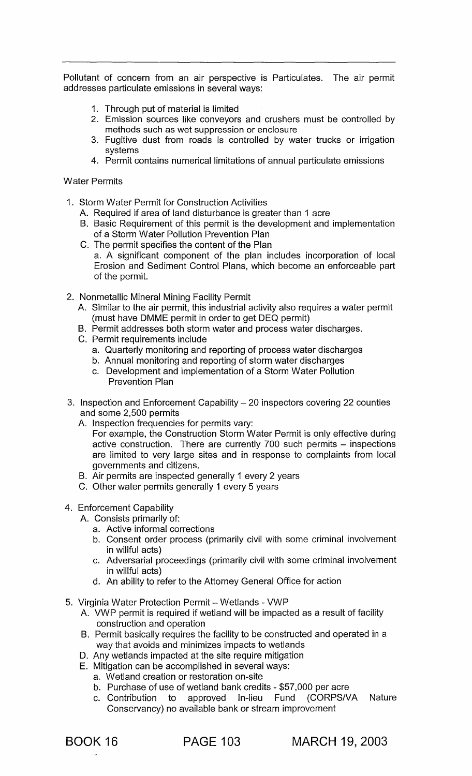Pollutant of concern from an air perspective is Particulates. The air permit addresses particulate emissions in several ways:

- 1. Through put of material is limited
- 2. Emission sources like conveyors and crushers must be controlled by methods such as wet suppression or enclosure
- 3. Fugitive dust from roads is controlled by water trucks or irrigation systems
- 4. Permit contains numerical limitations of annual particulate emissions

Water Permits

- 1. Storm Water Permit for Construction Activities
	- A. Required if area of land disturbance is greater than 1 acre
	- B. Basic Requirement of this permit is the development and implementation of a Storm Water Pollution Prevention Plan
	- C. The permit specifies the content of the Plan a. A significant component of the plan includes incorporation of local Erosion and Sediment Control Plans, which become an enforceable part of the permit.
- 2. Nonmetallic Mineral Mining Facility Permit
	- A. Similar to the air permit, this industrial activity also requires a water permit (must have DMME permit in order to get DEQ permit)
	- B. Permit addresses both storm water and process water discharges.
	- C. Permit requirements include
		- a. Quarterly monitoring and reporting of process water discharges
		- b. Annual monitoring and reporting of storm water discharges
		- c. Development and implementation of a Storm Water Pollution Prevention Plan
- 3. Inspection and Enforcement Capability  $-20$  inspectors covering 22 counties and some 2,500 permits
	- A. Inspection frequencies for permits vary:
		- For example, the Construction Storm Water Permit is only effective during active construction. There are currently 700 such permits - inspections are limited to very large sites and in response to complaints from local governments and citizens.
	- B. Air permits are inspected generally 1 every 2 years
	- C. Other water permits generally 1 every 5 years
- 4. Enforcement Capability
	- A. Consists primarily of:
		- a. Active informal corrections
		- b. Consent order process (primarily civil with some criminal involvement in willful acts)
		- c. Adversarial proceedings (primarily civil with some criminal involvement in willful acts)
		- d. An ability to refer to the Attorney General Office for action
- 5. Virginia Water Protection Permit Wetlands VWP
	- A. VWP permit is required if wetland will be impacted as a result of facility construction and operation
	- B. Permit basically requires the facility to be constructed and operated in a way that avoids and minimizes impacts to wetlands
	- D. Any wetlands impacted at the site require mitigation
	- E. Mitigation can be accomplished in several ways:
		- a. Wetland creation or restoration on-site
		- b. Purchase of use of wetland bank credits \$57,000 per acre
		- c. Contribution to approved In-lieu Fund (CORPSNA Nature Conservancy) no available bank or stream improvement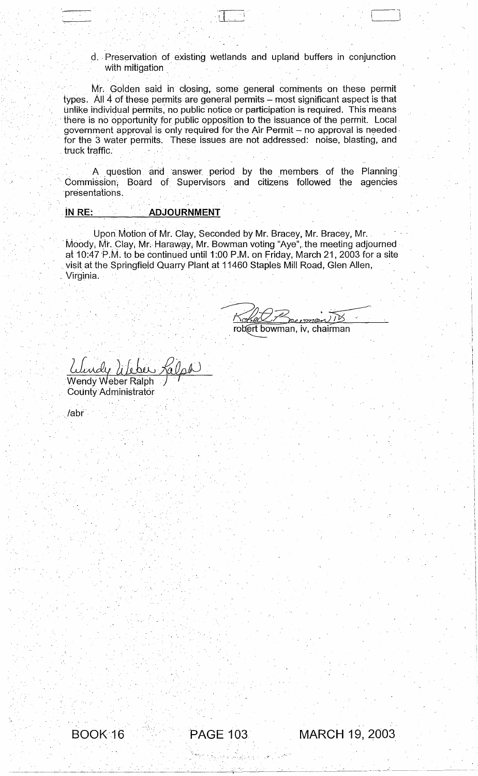d. Preservation of existing wetlands and upland buffers in conjunction with mitigation

Mr; Goiden said in dosing, some general comments on these permit types. All 4 of these permits are general permits - most significant aspect is that unlike individual permits, no public notice or participation is required. This means there is no opportunity for public opposition to the issuance of the permit. Local government approval is only required for the Air Permit - no approval is needed. for the 3 water permits. These issues are not addressed: noise, blasting, and truck traffic.

A question and answer period by the members of the Planning Commission, Board of Supervisors and citizens followed the agencies ·presentatiohs .

## . iN RE: **ADJOURNMENT**

Upon Motion of Mr. Clay, Seconded by Mr. Bracey, Mr. Bracey, Mr. Moody, Mr. Clay, Mr. Haraway, Mr. Bowman voting "Aye", the meeting adjourned at 10:47 P.M. to be continued until 1:00 P.M. on Friday, March 21, 2003 for a site visit at the Springfield Quarry Plant at 11460 Staples Mill Road, Glen Allen, Virginia.

robert bowman, iv, chairman

 $\overline{\mathbf{L}}$  is a set of  $\overline{\mathbf{L}}$  in the set of  $\overline{\mathbf{L}}$ 

\

*Llendy Lileber Kalph* 

,

County Administrator

/abr'

~",

BOOK-16 "PAGE 103 MARCH 19, 2003

'; .---~-.-~- ---'-- ~..,. --\_ .. -